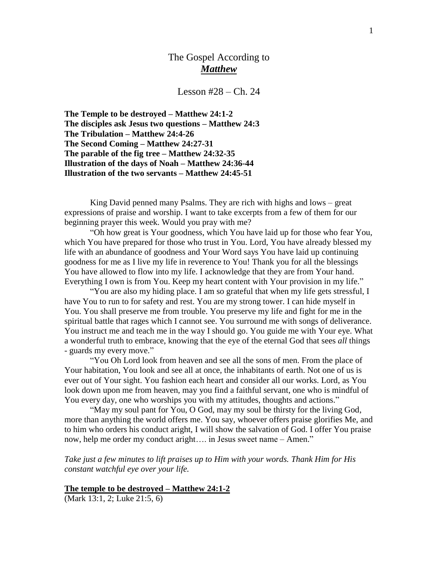## The Gospel According to *Matthew*

Lesson  $#28 - Ch. 24$ 

**The Temple to be destroyed – Matthew 24:1-2 The disciples ask Jesus two questions – Matthew 24:3 The Tribulation – Matthew 24:4-26 The Second Coming – Matthew 24:27-31 The parable of the fig tree – Matthew 24:32-35 Illustration of the days of Noah – Matthew 24:36-44 Illustration of the two servants – Matthew 24:45-51**

King David penned many Psalms. They are rich with highs and lows – great expressions of praise and worship. I want to take excerpts from a few of them for our beginning prayer this week. Would you pray with me?

"Oh how great is Your goodness, which You have laid up for those who fear You, which You have prepared for those who trust in You. Lord, You have already blessed my life with an abundance of goodness and Your Word says You have laid up continuing goodness for me as I live my life in reverence to You! Thank you for all the blessings You have allowed to flow into my life. I acknowledge that they are from Your hand. Everything I own is from You. Keep my heart content with Your provision in my life."

"You are also my hiding place. I am so grateful that when my life gets stressful, I have You to run to for safety and rest. You are my strong tower. I can hide myself in You. You shall preserve me from trouble. You preserve my life and fight for me in the spiritual battle that rages which I cannot see. You surround me with songs of deliverance. You instruct me and teach me in the way I should go. You guide me with Your eye. What a wonderful truth to embrace, knowing that the eye of the eternal God that sees *all* things - guards my every move."

"You Oh Lord look from heaven and see all the sons of men. From the place of Your habitation, You look and see all at once, the inhabitants of earth. Not one of us is ever out of Your sight. You fashion each heart and consider all our works. Lord, as You look down upon me from heaven, may you find a faithful servant, one who is mindful of You every day, one who worships you with my attitudes, thoughts and actions."

"May my soul pant for You, O God, may my soul be thirsty for the living God, more than anything the world offers me. You say, whoever offers praise glorifies Me, and to him who orders his conduct aright, I will show the salvation of God. I offer You praise now, help me order my conduct aright…. in Jesus sweet name – Amen."

*Take just a few minutes to lift praises up to Him with your words. Thank Him for His constant watchful eye over your life.*

#### **The temple to be destroyed – Matthew 24:1-2**

(Mark 13:1, 2; Luke 21:5, 6)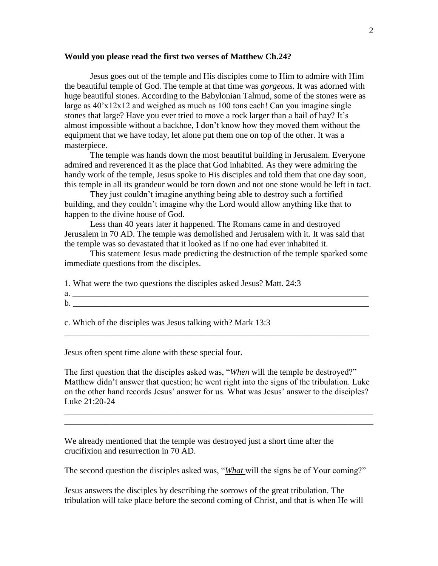#### **Would you please read the first two verses of Matthew Ch.24?**

Jesus goes out of the temple and His disciples come to Him to admire with Him the beautiful temple of God. The temple at that time was *gorgeous*. It was adorned with huge beautiful stones. According to the Babylonian Talmud, some of the stones were as large as  $40x12x12$  and weighed as much as 100 tons each! Can you imagine single stones that large? Have you ever tried to move a rock larger than a bail of hay? It's almost impossible without a backhoe, I don't know how they moved them without the equipment that we have today, let alone put them one on top of the other. It was a masterpiece.

The temple was hands down the most beautiful building in Jerusalem. Everyone admired and reverenced it as the place that God inhabited. As they were admiring the handy work of the temple, Jesus spoke to His disciples and told them that one day soon, this temple in all its grandeur would be torn down and not one stone would be left in tact.

They just couldn't imagine anything being able to destroy such a fortified building, and they couldn't imagine why the Lord would allow anything like that to happen to the divine house of God.

Less than 40 years later it happened. The Romans came in and destroyed Jerusalem in 70 AD. The temple was demolished and Jerusalem with it. It was said that the temple was so devastated that it looked as if no one had ever inhabited it.

This statement Jesus made predicting the destruction of the temple sparked some immediate questions from the disciples.

1. What were the two questions the disciples asked Jesus? Matt. 24:3

 $a.$ b. \_\_\_\_\_\_\_\_\_\_\_\_\_\_\_\_\_\_\_\_\_\_\_\_\_\_\_\_\_\_\_\_\_\_\_\_\_\_\_\_\_\_\_\_\_\_\_\_\_\_\_\_\_\_\_\_\_\_\_\_\_\_\_\_\_\_\_\_\_

c. Which of the disciples was Jesus talking with? Mark 13:3

Jesus often spent time alone with these special four.

The first question that the disciples asked was, "*When* will the temple be destroyed?" Matthew didn't answer that question; he went right into the signs of the tribulation. Luke on the other hand records Jesus' answer for us. What was Jesus' answer to the disciples? Luke 21:20-24

\_\_\_\_\_\_\_\_\_\_\_\_\_\_\_\_\_\_\_\_\_\_\_\_\_\_\_\_\_\_\_\_\_\_\_\_\_\_\_\_\_\_\_\_\_\_\_\_\_\_\_\_\_\_\_\_\_\_\_\_\_\_\_\_\_\_\_\_\_\_\_\_ \_\_\_\_\_\_\_\_\_\_\_\_\_\_\_\_\_\_\_\_\_\_\_\_\_\_\_\_\_\_\_\_\_\_\_\_\_\_\_\_\_\_\_\_\_\_\_\_\_\_\_\_\_\_\_\_\_\_\_\_\_\_\_\_\_\_\_\_\_\_\_\_

\_\_\_\_\_\_\_\_\_\_\_\_\_\_\_\_\_\_\_\_\_\_\_\_\_\_\_\_\_\_\_\_\_\_\_\_\_\_\_\_\_\_\_\_\_\_\_\_\_\_\_\_\_\_\_\_\_\_\_\_\_\_\_\_\_\_\_\_\_\_\_

We already mentioned that the temple was destroyed just a short time after the crucifixion and resurrection in 70 AD.

The second question the disciples asked was, "*What* will the signs be of Your coming?"

Jesus answers the disciples by describing the sorrows of the great tribulation. The tribulation will take place before the second coming of Christ, and that is when He will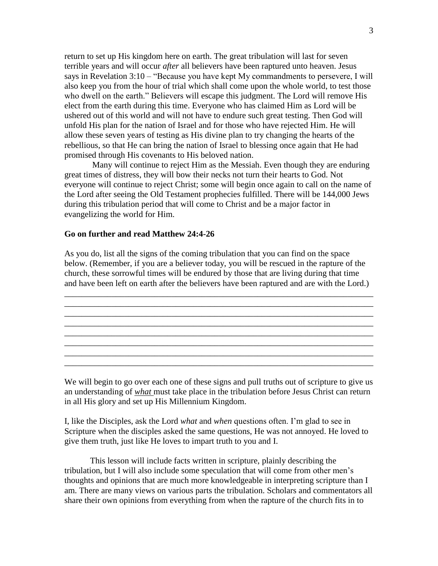return to set up His kingdom here on earth. The great tribulation will last for seven terrible years and will occur *after* all believers have been raptured unto heaven. Jesus says in Revelation 3:10 – "Because you have kept My commandments to persevere, I will also keep you from the hour of trial which shall come upon the whole world, to test those who dwell on the earth." Believers will escape this judgment. The Lord will remove His elect from the earth during this time. Everyone who has claimed Him as Lord will be ushered out of this world and will not have to endure such great testing. Then God will unfold His plan for the nation of Israel and for those who have rejected Him. He will allow these seven years of testing as His divine plan to try changing the hearts of the rebellious, so that He can bring the nation of Israel to blessing once again that He had promised through His covenants to His beloved nation.

Many will continue to reject Him as the Messiah. Even though they are enduring great times of distress, they will bow their necks not turn their hearts to God. Not everyone will continue to reject Christ; some will begin once again to call on the name of the Lord after seeing the Old Testament prophecies fulfilled. There will be 144,000 Jews during this tribulation period that will come to Christ and be a major factor in evangelizing the world for Him.

### **Go on further and read Matthew 24:4-26**

As you do, list all the signs of the coming tribulation that you can find on the space below. (Remember, if you are a believer today, you will be rescued in the rapture of the church, these sorrowful times will be endured by those that are living during that time and have been left on earth after the believers have been raptured and are with the Lord.)

\_\_\_\_\_\_\_\_\_\_\_\_\_\_\_\_\_\_\_\_\_\_\_\_\_\_\_\_\_\_\_\_\_\_\_\_\_\_\_\_\_\_\_\_\_\_\_\_\_\_\_\_\_\_\_\_\_\_\_\_\_\_\_\_\_\_\_\_\_\_\_\_ \_\_\_\_\_\_\_\_\_\_\_\_\_\_\_\_\_\_\_\_\_\_\_\_\_\_\_\_\_\_\_\_\_\_\_\_\_\_\_\_\_\_\_\_\_\_\_\_\_\_\_\_\_\_\_\_\_\_\_\_\_\_\_\_\_\_\_\_\_\_\_\_ \_\_\_\_\_\_\_\_\_\_\_\_\_\_\_\_\_\_\_\_\_\_\_\_\_\_\_\_\_\_\_\_\_\_\_\_\_\_\_\_\_\_\_\_\_\_\_\_\_\_\_\_\_\_\_\_\_\_\_\_\_\_\_\_\_\_\_\_\_\_\_\_ \_\_\_\_\_\_\_\_\_\_\_\_\_\_\_\_\_\_\_\_\_\_\_\_\_\_\_\_\_\_\_\_\_\_\_\_\_\_\_\_\_\_\_\_\_\_\_\_\_\_\_\_\_\_\_\_\_\_\_\_\_\_\_\_\_\_\_\_\_\_\_\_ \_\_\_\_\_\_\_\_\_\_\_\_\_\_\_\_\_\_\_\_\_\_\_\_\_\_\_\_\_\_\_\_\_\_\_\_\_\_\_\_\_\_\_\_\_\_\_\_\_\_\_\_\_\_\_\_\_\_\_\_\_\_\_\_\_\_\_\_\_\_\_\_ \_\_\_\_\_\_\_\_\_\_\_\_\_\_\_\_\_\_\_\_\_\_\_\_\_\_\_\_\_\_\_\_\_\_\_\_\_\_\_\_\_\_\_\_\_\_\_\_\_\_\_\_\_\_\_\_\_\_\_\_\_\_\_\_\_\_\_\_\_\_\_\_ \_\_\_\_\_\_\_\_\_\_\_\_\_\_\_\_\_\_\_\_\_\_\_\_\_\_\_\_\_\_\_\_\_\_\_\_\_\_\_\_\_\_\_\_\_\_\_\_\_\_\_\_\_\_\_\_\_\_\_\_\_\_\_\_\_\_\_\_\_\_\_\_ \_\_\_\_\_\_\_\_\_\_\_\_\_\_\_\_\_\_\_\_\_\_\_\_\_\_\_\_\_\_\_\_\_\_\_\_\_\_\_\_\_\_\_\_\_\_\_\_\_\_\_\_\_\_\_\_\_\_\_\_\_\_\_\_\_\_\_\_\_\_\_\_

We will begin to go over each one of these signs and pull truths out of scripture to give us an understanding of *what* must take place in the tribulation before Jesus Christ can return in all His glory and set up His Millennium Kingdom.

I, like the Disciples, ask the Lord *what* and *when* questions often. I'm glad to see in Scripture when the disciples asked the same questions, He was not annoyed. He loved to give them truth, just like He loves to impart truth to you and I.

This lesson will include facts written in scripture, plainly describing the tribulation, but I will also include some speculation that will come from other men's thoughts and opinions that are much more knowledgeable in interpreting scripture than I am. There are many views on various parts the tribulation. Scholars and commentators all share their own opinions from everything from when the rapture of the church fits in to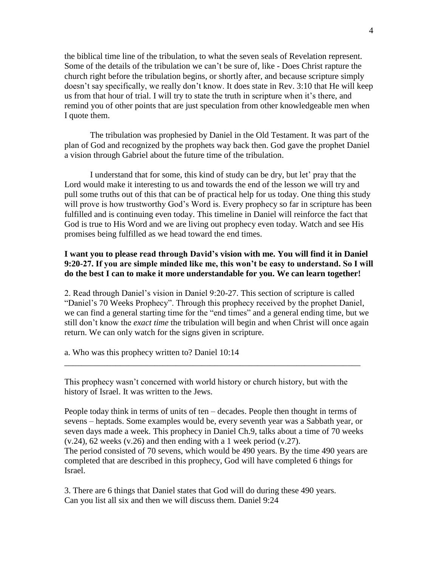the biblical time line of the tribulation, to what the seven seals of Revelation represent. Some of the details of the tribulation we can't be sure of, like - Does Christ rapture the church right before the tribulation begins, or shortly after, and because scripture simply doesn't say specifically, we really don't know. It does state in Rev. 3:10 that He will keep us from that hour of trial. I will try to state the truth in scripture when it's there, and remind you of other points that are just speculation from other knowledgeable men when I quote them.

The tribulation was prophesied by Daniel in the Old Testament. It was part of the plan of God and recognized by the prophets way back then. God gave the prophet Daniel a vision through Gabriel about the future time of the tribulation.

I understand that for some, this kind of study can be dry, but let' pray that the Lord would make it interesting to us and towards the end of the lesson we will try and pull some truths out of this that can be of practical help for us today. One thing this study will prove is how trustworthy God's Word is. Every prophecy so far in scripture has been fulfilled and is continuing even today. This timeline in Daniel will reinforce the fact that God is true to His Word and we are living out prophecy even today. Watch and see His promises being fulfilled as we head toward the end times.

## **I want you to please read through David's vision with me. You will find it in Daniel 9:20-27. If you are simple minded like me, this won't be easy to understand. So I will do the best I can to make it more understandable for you. We can learn together!**

2. Read through Daniel's vision in Daniel 9:20-27. This section of scripture is called "Daniel's 70 Weeks Prophecy". Through this prophecy received by the prophet Daniel, we can find a general starting time for the "end times" and a general ending time, but we still don't know the *exact time* the tribulation will begin and when Christ will once again return. We can only watch for the signs given in scripture.

a. Who was this prophecy written to? Daniel 10:14

This prophecy wasn't concerned with world history or church history, but with the history of Israel. It was written to the Jews.

\_\_\_\_\_\_\_\_\_\_\_\_\_\_\_\_\_\_\_\_\_\_\_\_\_\_\_\_\_\_\_\_\_\_\_\_\_\_\_\_\_\_\_\_\_\_\_\_\_\_\_\_\_\_\_\_\_\_\_\_\_\_\_\_\_\_\_\_\_

People today think in terms of units of ten – decades. People then thought in terms of sevens – heptads. Some examples would be, every seventh year was a Sabbath year, or seven days made a week. This prophecy in Daniel Ch.9, talks about a time of 70 weeks  $(v.24)$ , 62 weeks  $(v.26)$  and then ending with a 1 week period  $(v.27)$ . The period consisted of 70 sevens, which would be 490 years. By the time 490 years are completed that are described in this prophecy, God will have completed 6 things for Israel.

3. There are 6 things that Daniel states that God will do during these 490 years. Can you list all six and then we will discuss them. Daniel 9:24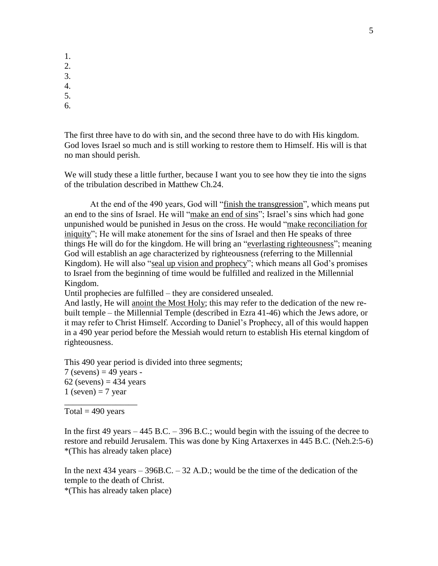- 1.
- 2.
- 3.
- 4.
- 5. 6.

The first three have to do with sin, and the second three have to do with His kingdom. God loves Israel so much and is still working to restore them to Himself. His will is that no man should perish.

We will study these a little further, because I want you to see how they tie into the signs of the tribulation described in Matthew Ch.24.

At the end of the 490 years, God will "finish the transgression", which means put an end to the sins of Israel. He will "make an end of sins"; Israel's sins which had gone unpunished would be punished in Jesus on the cross. He would "make reconciliation for iniquity"; He will make atonement for the sins of Israel and then He speaks of three things He will do for the kingdom. He will bring an "everlasting righteousness"; meaning God will establish an age characterized by righteousness (referring to the Millennial Kingdom). He will also "seal up vision and prophecy"; which means all God's promises to Israel from the beginning of time would be fulfilled and realized in the Millennial Kingdom.

Until prophecies are fulfilled – they are considered unsealed.

And lastly, He will anoint the Most Holy; this may refer to the dedication of the new rebuilt temple – the Millennial Temple (described in Ezra 41-46) which the Jews adore, or it may refer to Christ Himself. According to Daniel's Prophecy, all of this would happen in a 490 year period before the Messiah would return to establish His eternal kingdom of righteousness.

This 490 year period is divided into three segments;  $7$  (sevens) = 49 years - $62$  (sevens) = 434 years 1 (seven)  $= 7$  year \_\_\_\_\_\_\_\_\_\_\_\_\_\_\_\_\_

Total  $=$  490 years

In the first 49 years – 445 B.C. – 396 B.C.; would begin with the issuing of the decree to restore and rebuild Jerusalem. This was done by King Artaxerxes in 445 B.C. (Neh.2:5-6) \*(This has already taken place)

In the next  $434$  years  $-396B.C. -32 A.D.$ ; would be the time of the dedication of the temple to the death of Christ. \*(This has already taken place)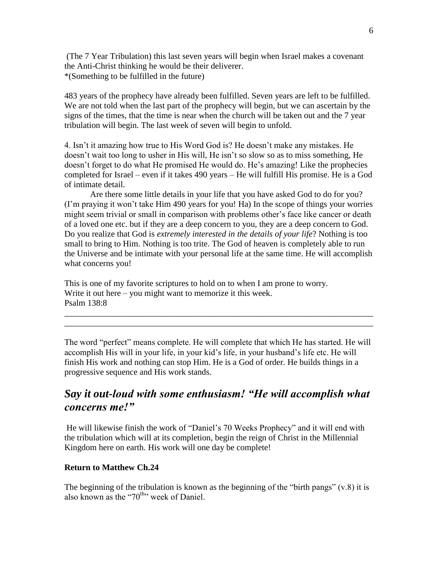(The 7 Year Tribulation) this last seven years will begin when Israel makes a covenant the Anti-Christ thinking he would be their deliverer. \*(Something to be fulfilled in the future)

483 years of the prophecy have already been fulfilled. Seven years are left to be fulfilled. We are not told when the last part of the prophecy will begin, but we can ascertain by the signs of the times, that the time is near when the church will be taken out and the 7 year tribulation will begin. The last week of seven will begin to unfold.

4. Isn't it amazing how true to His Word God is? He doesn't make any mistakes. He doesn't wait too long to usher in His will, He isn't so slow so as to miss something, He doesn't forget to do what He promised He would do. He's amazing! Like the prophecies completed for Israel – even if it takes 490 years – He will fulfill His promise. He is a God of intimate detail.

Are there some little details in your life that you have asked God to do for you? (I'm praying it won't take Him 490 years for you! Ha) In the scope of things your worries might seem trivial or small in comparison with problems other's face like cancer or death of a loved one etc. but if they are a deep concern to you, they are a deep concern to God. Do you realize that God is *extremely interested in the details of your life*? Nothing is too small to bring to Him. Nothing is too trite. The God of heaven is completely able to run the Universe and be intimate with your personal life at the same time. He will accomplish what concerns you!

This is one of my favorite scriptures to hold on to when I am prone to worry. Write it out here – you might want to memorize it this week. Psalm 138:8

The word "perfect" means complete. He will complete that which He has started. He will accomplish His will in your life, in your kid's life, in your husband's life etc. He will finish His work and nothing can stop Him. He is a God of order. He builds things in a progressive sequence and His work stands.

\_\_\_\_\_\_\_\_\_\_\_\_\_\_\_\_\_\_\_\_\_\_\_\_\_\_\_\_\_\_\_\_\_\_\_\_\_\_\_\_\_\_\_\_\_\_\_\_\_\_\_\_\_\_\_\_\_\_\_\_\_\_\_\_\_\_\_\_\_\_\_\_ \_\_\_\_\_\_\_\_\_\_\_\_\_\_\_\_\_\_\_\_\_\_\_\_\_\_\_\_\_\_\_\_\_\_\_\_\_\_\_\_\_\_\_\_\_\_\_\_\_\_\_\_\_\_\_\_\_\_\_\_\_\_\_\_\_\_\_\_\_\_\_\_

# *Say it out-loud with some enthusiasm! "He will accomplish what concerns me!"*

He will likewise finish the work of "Daniel's 70 Weeks Prophecy" and it will end with the tribulation which will at its completion, begin the reign of Christ in the Millennial Kingdom here on earth. His work will one day be complete!

## **Return to Matthew Ch.24**

The beginning of the tribulation is known as the beginning of the "birth pangs"  $(v.8)$  it is also known as the "70<sup>th</sup>" week of Daniel.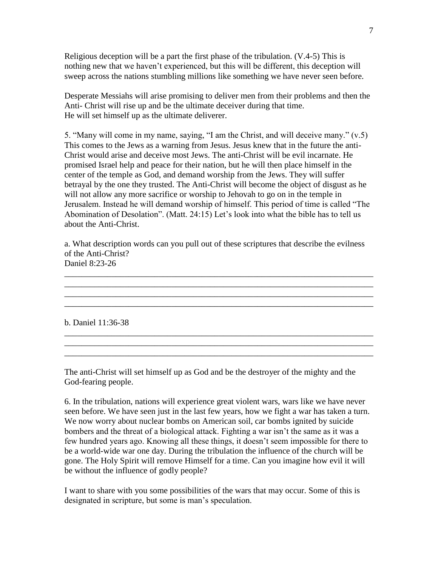Religious deception will be a part the first phase of the tribulation. (V.4-5) This is nothing new that we haven't experienced, but this will be different, this deception will sweep across the nations stumbling millions like something we have never seen before.

Desperate Messiahs will arise promising to deliver men from their problems and then the Anti- Christ will rise up and be the ultimate deceiver during that time. He will set himself up as the ultimate deliverer.

5. "Many will come in my name, saying, "I am the Christ, and will deceive many." (v.5) This comes to the Jews as a warning from Jesus. Jesus knew that in the future the anti-Christ would arise and deceive most Jews. The anti-Christ will be evil incarnate. He promised Israel help and peace for their nation, but he will then place himself in the center of the temple as God, and demand worship from the Jews. They will suffer betrayal by the one they trusted. The Anti-Christ will become the object of disgust as he will not allow any more sacrifice or worship to Jehovah to go on in the temple in Jerusalem. Instead he will demand worship of himself. This period of time is called "The Abomination of Desolation". (Matt. 24:15) Let's look into what the bible has to tell us about the Anti-Christ.

a. What description words can you pull out of these scriptures that describe the evilness of the Anti-Christ? Daniel 8:23-26

\_\_\_\_\_\_\_\_\_\_\_\_\_\_\_\_\_\_\_\_\_\_\_\_\_\_\_\_\_\_\_\_\_\_\_\_\_\_\_\_\_\_\_\_\_\_\_\_\_\_\_\_\_\_\_\_\_\_\_\_\_\_\_\_\_\_\_\_\_\_\_\_ \_\_\_\_\_\_\_\_\_\_\_\_\_\_\_\_\_\_\_\_\_\_\_\_\_\_\_\_\_\_\_\_\_\_\_\_\_\_\_\_\_\_\_\_\_\_\_\_\_\_\_\_\_\_\_\_\_\_\_\_\_\_\_\_\_\_\_\_\_\_\_\_ \_\_\_\_\_\_\_\_\_\_\_\_\_\_\_\_\_\_\_\_\_\_\_\_\_\_\_\_\_\_\_\_\_\_\_\_\_\_\_\_\_\_\_\_\_\_\_\_\_\_\_\_\_\_\_\_\_\_\_\_\_\_\_\_\_\_\_\_\_\_\_\_ \_\_\_\_\_\_\_\_\_\_\_\_\_\_\_\_\_\_\_\_\_\_\_\_\_\_\_\_\_\_\_\_\_\_\_\_\_\_\_\_\_\_\_\_\_\_\_\_\_\_\_\_\_\_\_\_\_\_\_\_\_\_\_\_\_\_\_\_\_\_\_\_

\_\_\_\_\_\_\_\_\_\_\_\_\_\_\_\_\_\_\_\_\_\_\_\_\_\_\_\_\_\_\_\_\_\_\_\_\_\_\_\_\_\_\_\_\_\_\_\_\_\_\_\_\_\_\_\_\_\_\_\_\_\_\_\_\_\_\_\_\_\_\_\_ \_\_\_\_\_\_\_\_\_\_\_\_\_\_\_\_\_\_\_\_\_\_\_\_\_\_\_\_\_\_\_\_\_\_\_\_\_\_\_\_\_\_\_\_\_\_\_\_\_\_\_\_\_\_\_\_\_\_\_\_\_\_\_\_\_\_\_\_\_\_\_\_ \_\_\_\_\_\_\_\_\_\_\_\_\_\_\_\_\_\_\_\_\_\_\_\_\_\_\_\_\_\_\_\_\_\_\_\_\_\_\_\_\_\_\_\_\_\_\_\_\_\_\_\_\_\_\_\_\_\_\_\_\_\_\_\_\_\_\_\_\_\_\_\_

b. Daniel 11:36-38

The anti-Christ will set himself up as God and be the destroyer of the mighty and the God-fearing people.

6. In the tribulation, nations will experience great violent wars, wars like we have never seen before. We have seen just in the last few years, how we fight a war has taken a turn. We now worry about nuclear bombs on American soil, car bombs ignited by suicide bombers and the threat of a biological attack. Fighting a war isn't the same as it was a few hundred years ago. Knowing all these things, it doesn't seem impossible for there to be a world-wide war one day. During the tribulation the influence of the church will be gone. The Holy Spirit will remove Himself for a time. Can you imagine how evil it will be without the influence of godly people?

I want to share with you some possibilities of the wars that may occur. Some of this is designated in scripture, but some is man's speculation.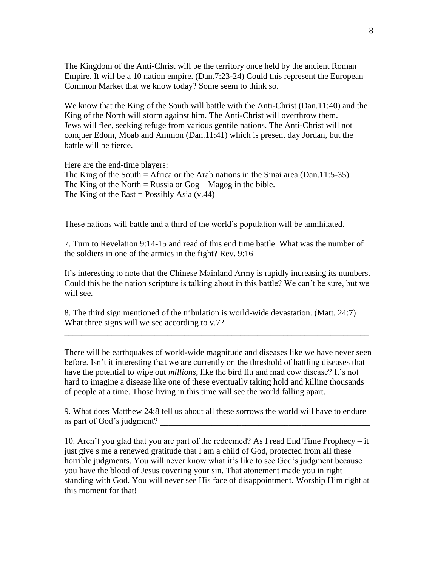The Kingdom of the Anti-Christ will be the territory once held by the ancient Roman Empire. It will be a 10 nation empire. (Dan.7:23-24) Could this represent the European Common Market that we know today? Some seem to think so.

We know that the King of the South will battle with the Anti-Christ (Dan.11:40) and the King of the North will storm against him. The Anti-Christ will overthrow them. Jews will flee, seeking refuge from various gentile nations. The Anti-Christ will not conquer Edom, Moab and Ammon (Dan.11:41) which is present day Jordan, but the battle will be fierce.

Here are the end-time players: The King of the South  $=$  Africa or the Arab nations in the Sinai area (Dan.11:5-35) The King of the North = Russia or  $Gog - Magog$  in the bible. The King of the East = Possibly Asia  $(v.44)$ 

These nations will battle and a third of the world's population will be annihilated.

7. Turn to Revelation 9:14-15 and read of this end time battle. What was the number of the soldiers in one of the armies in the fight? Rev. 9:16

It's interesting to note that the Chinese Mainland Army is rapidly increasing its numbers. Could this be the nation scripture is talking about in this battle? We can't be sure, but we will see.

8. The third sign mentioned of the tribulation is world-wide devastation. (Matt. 24:7) What three signs will we see according to v.7?

There will be earthquakes of world-wide magnitude and diseases like we have never seen before. Isn't it interesting that we are currently on the threshold of battling diseases that have the potential to wipe out *millions*, like the bird flu and mad cow disease? It's not hard to imagine a disease like one of these eventually taking hold and killing thousands of people at a time. Those living in this time will see the world falling apart.

\_\_\_\_\_\_\_\_\_\_\_\_\_\_\_\_\_\_\_\_\_\_\_\_\_\_\_\_\_\_\_\_\_\_\_\_\_\_\_\_\_\_\_\_\_\_\_\_\_\_\_\_\_\_\_\_\_\_\_\_\_\_\_\_\_\_\_\_\_\_\_

9. What does Matthew 24:8 tell us about all these sorrows the world will have to endure as part of God's judgment?

10. Aren't you glad that you are part of the redeemed? As I read End Time Prophecy – it just give s me a renewed gratitude that I am a child of God, protected from all these horrible judgments. You will never know what it's like to see God's judgment because you have the blood of Jesus covering your sin. That atonement made you in right standing with God. You will never see His face of disappointment. Worship Him right at this moment for that!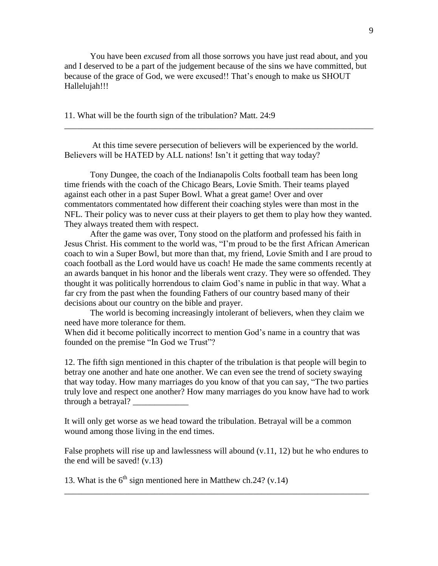You have been *excused* from all those sorrows you have just read about, and you and I deserved to be a part of the judgement because of the sins we have committed, but because of the grace of God, we were excused!! That's enough to make us SHOUT Hallelujah!!!

11. What will be the fourth sign of the tribulation? Matt. 24:9

At this time severe persecution of believers will be experienced by the world. Believers will be HATED by ALL nations! Isn't it getting that way today?

\_\_\_\_\_\_\_\_\_\_\_\_\_\_\_\_\_\_\_\_\_\_\_\_\_\_\_\_\_\_\_\_\_\_\_\_\_\_\_\_\_\_\_\_\_\_\_\_\_\_\_\_\_\_\_\_\_\_\_\_\_\_\_\_\_\_\_\_\_\_\_\_

Tony Dungee, the coach of the Indianapolis Colts football team has been long time friends with the coach of the Chicago Bears, Lovie Smith. Their teams played against each other in a past Super Bowl. What a great game! Over and over commentators commentated how different their coaching styles were than most in the NFL. Their policy was to never cuss at their players to get them to play how they wanted. They always treated them with respect.

After the game was over, Tony stood on the platform and professed his faith in Jesus Christ. His comment to the world was, "I'm proud to be the first African American coach to win a Super Bowl, but more than that, my friend, Lovie Smith and I are proud to coach football as the Lord would have us coach! He made the same comments recently at an awards banquet in his honor and the liberals went crazy. They were so offended. They thought it was politically horrendous to claim God's name in public in that way. What a far cry from the past when the founding Fathers of our country based many of their decisions about our country on the bible and prayer.

The world is becoming increasingly intolerant of believers, when they claim we need have more tolerance for them.

When did it become politically incorrect to mention God's name in a country that was founded on the premise "In God we Trust"?

12. The fifth sign mentioned in this chapter of the tribulation is that people will begin to betray one another and hate one another. We can even see the trend of society swaying that way today. How many marriages do you know of that you can say, "The two parties truly love and respect one another? How many marriages do you know have had to work through a betrayal? \_\_\_\_\_\_\_\_\_\_\_\_\_

It will only get worse as we head toward the tribulation. Betrayal will be a common wound among those living in the end times.

False prophets will rise up and lawlessness will abound (v.11, 12) but he who endures to the end will be saved!  $(v.13)$ 

\_\_\_\_\_\_\_\_\_\_\_\_\_\_\_\_\_\_\_\_\_\_\_\_\_\_\_\_\_\_\_\_\_\_\_\_\_\_\_\_\_\_\_\_\_\_\_\_\_\_\_\_\_\_\_\_\_\_\_\_\_\_\_\_\_\_\_\_\_\_\_

13. What is the  $6<sup>th</sup>$  sign mentioned here in Matthew ch.24? (v.14)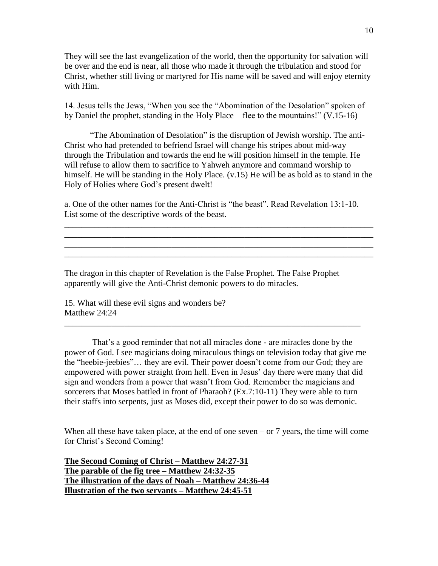They will see the last evangelization of the world, then the opportunity for salvation will be over and the end is near, all those who made it through the tribulation and stood for Christ, whether still living or martyred for His name will be saved and will enjoy eternity with Him.

14. Jesus tells the Jews, "When you see the "Abomination of the Desolation" spoken of by Daniel the prophet, standing in the Holy Place – flee to the mountains!" (V.15-16)

"The Abomination of Desolation" is the disruption of Jewish worship. The anti-Christ who had pretended to befriend Israel will change his stripes about mid-way through the Tribulation and towards the end he will position himself in the temple. He will refuse to allow them to sacrifice to Yahweh anymore and command worship to himself. He will be standing in the Holy Place. (v.15) He will be as bold as to stand in the Holy of Holies where God's present dwelt!

a. One of the other names for the Anti-Christ is "the beast". Read Revelation 13:1-10. List some of the descriptive words of the beast.

\_\_\_\_\_\_\_\_\_\_\_\_\_\_\_\_\_\_\_\_\_\_\_\_\_\_\_\_\_\_\_\_\_\_\_\_\_\_\_\_\_\_\_\_\_\_\_\_\_\_\_\_\_\_\_\_\_\_\_\_\_\_\_\_\_\_\_\_\_\_\_\_ \_\_\_\_\_\_\_\_\_\_\_\_\_\_\_\_\_\_\_\_\_\_\_\_\_\_\_\_\_\_\_\_\_\_\_\_\_\_\_\_\_\_\_\_\_\_\_\_\_\_\_\_\_\_\_\_\_\_\_\_\_\_\_\_\_\_\_\_\_\_\_\_ \_\_\_\_\_\_\_\_\_\_\_\_\_\_\_\_\_\_\_\_\_\_\_\_\_\_\_\_\_\_\_\_\_\_\_\_\_\_\_\_\_\_\_\_\_\_\_\_\_\_\_\_\_\_\_\_\_\_\_\_\_\_\_\_\_\_\_\_\_\_\_\_ \_\_\_\_\_\_\_\_\_\_\_\_\_\_\_\_\_\_\_\_\_\_\_\_\_\_\_\_\_\_\_\_\_\_\_\_\_\_\_\_\_\_\_\_\_\_\_\_\_\_\_\_\_\_\_\_\_\_\_\_\_\_\_\_\_\_\_\_\_\_\_\_

The dragon in this chapter of Revelation is the False Prophet. The False Prophet apparently will give the Anti-Christ demonic powers to do miracles.

15. What will these evil signs and wonders be? Matthew 24:24

That's a good reminder that not all miracles done - are miracles done by the power of God. I see magicians doing miraculous things on television today that give me the "heebie-jeebies"… they are evil. Their power doesn't come from our God; they are empowered with power straight from hell. Even in Jesus' day there were many that did sign and wonders from a power that wasn't from God. Remember the magicians and sorcerers that Moses battled in front of Pharaoh? (Ex.7:10-11) They were able to turn their staffs into serpents, just as Moses did, except their power to do so was demonic.

\_\_\_\_\_\_\_\_\_\_\_\_\_\_\_\_\_\_\_\_\_\_\_\_\_\_\_\_\_\_\_\_\_\_\_\_\_\_\_\_\_\_\_\_\_\_\_\_\_\_\_\_\_\_\_\_\_\_\_\_\_\_\_\_\_\_\_\_\_

When all these have taken place, at the end of one seven – or  $7$  years, the time will come for Christ's Second Coming!

**The Second Coming of Christ – Matthew 24:27-31 The parable of the fig tree – Matthew 24:32-35 The illustration of the days of Noah – Matthew 24:36-44 Illustration of the two servants – Matthew 24:45-51**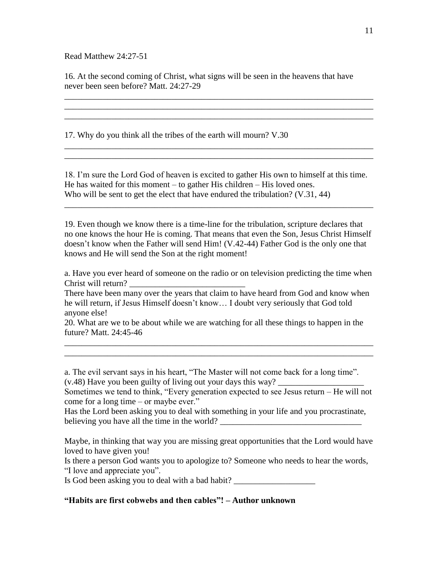Read Matthew 24:27-51

16. At the second coming of Christ, what signs will be seen in the heavens that have never been seen before? Matt. 24:27-29

\_\_\_\_\_\_\_\_\_\_\_\_\_\_\_\_\_\_\_\_\_\_\_\_\_\_\_\_\_\_\_\_\_\_\_\_\_\_\_\_\_\_\_\_\_\_\_\_\_\_\_\_\_\_\_\_\_\_\_\_\_\_\_\_\_\_\_\_\_\_\_\_ \_\_\_\_\_\_\_\_\_\_\_\_\_\_\_\_\_\_\_\_\_\_\_\_\_\_\_\_\_\_\_\_\_\_\_\_\_\_\_\_\_\_\_\_\_\_\_\_\_\_\_\_\_\_\_\_\_\_\_\_\_\_\_\_\_\_\_\_\_\_\_\_ \_\_\_\_\_\_\_\_\_\_\_\_\_\_\_\_\_\_\_\_\_\_\_\_\_\_\_\_\_\_\_\_\_\_\_\_\_\_\_\_\_\_\_\_\_\_\_\_\_\_\_\_\_\_\_\_\_\_\_\_\_\_\_\_\_\_\_\_\_\_\_\_

\_\_\_\_\_\_\_\_\_\_\_\_\_\_\_\_\_\_\_\_\_\_\_\_\_\_\_\_\_\_\_\_\_\_\_\_\_\_\_\_\_\_\_\_\_\_\_\_\_\_\_\_\_\_\_\_\_\_\_\_\_\_\_\_\_\_\_\_\_\_\_\_ \_\_\_\_\_\_\_\_\_\_\_\_\_\_\_\_\_\_\_\_\_\_\_\_\_\_\_\_\_\_\_\_\_\_\_\_\_\_\_\_\_\_\_\_\_\_\_\_\_\_\_\_\_\_\_\_\_\_\_\_\_\_\_\_\_\_\_\_\_\_\_\_

17. Why do you think all the tribes of the earth will mourn? V.30

18. I'm sure the Lord God of heaven is excited to gather His own to himself at this time. He has waited for this moment – to gather His children – His loved ones. Who will be sent to get the elect that have endured the tribulation? (V.31, 44)

\_\_\_\_\_\_\_\_\_\_\_\_\_\_\_\_\_\_\_\_\_\_\_\_\_\_\_\_\_\_\_\_\_\_\_\_\_\_\_\_\_\_\_\_\_\_\_\_\_\_\_\_\_\_\_\_\_\_\_\_\_\_\_\_\_\_\_\_\_\_\_\_

19. Even though we know there is a time-line for the tribulation, scripture declares that no one knows the hour He is coming. That means that even the Son, Jesus Christ Himself doesn't know when the Father will send Him! (V.42-44) Father God is the only one that knows and He will send the Son at the right moment!

a. Have you ever heard of someone on the radio or on television predicting the time when Christ will return?

There have been many over the years that claim to have heard from God and know when he will return, if Jesus Himself doesn't know… I doubt very seriously that God told anyone else!

20. What are we to be about while we are watching for all these things to happen in the future? Matt. 24:45-46

\_\_\_\_\_\_\_\_\_\_\_\_\_\_\_\_\_\_\_\_\_\_\_\_\_\_\_\_\_\_\_\_\_\_\_\_\_\_\_\_\_\_\_\_\_\_\_\_\_\_\_\_\_\_\_\_\_\_\_\_\_\_\_\_\_\_\_\_\_\_\_\_ \_\_\_\_\_\_\_\_\_\_\_\_\_\_\_\_\_\_\_\_\_\_\_\_\_\_\_\_\_\_\_\_\_\_\_\_\_\_\_\_\_\_\_\_\_\_\_\_\_\_\_\_\_\_\_\_\_\_\_\_\_\_\_\_\_\_\_\_\_\_\_\_

a. The evil servant says in his heart, "The Master will not come back for a long time".  $(v.48)$  Have you been guilty of living out your days this way?

Sometimes we tend to think, "Every generation expected to see Jesus return – He will not come for a long time – or maybe ever."

Has the Lord been asking you to deal with something in your life and you procrastinate, believing you have all the time in the world?

Maybe, in thinking that way you are missing great opportunities that the Lord would have loved to have given you!

Is there a person God wants you to apologize to? Someone who needs to hear the words, "I love and appreciate you".

Is God been asking you to deal with a bad habit?

## **"Habits are first cobwebs and then cables"! – Author unknown**